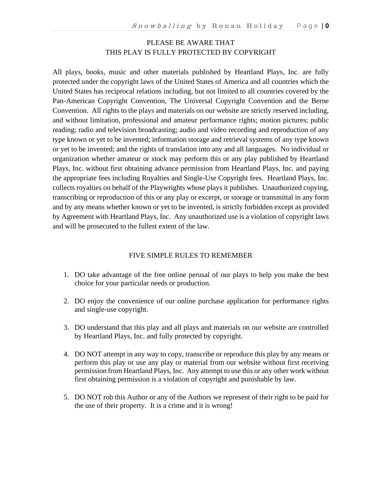#### PLEASE BE AWARE THAT THIS PLAY IS FULLY PROTECTED BY COPYRIGHT

All plays, books, music and other materials published by Heartland Plays, Inc. are fully protected under the copyright laws of the United States of America and all countries which the United States has reciprocal relations including, but not limited to all countries covered by the Pan-American Copyright Convention, The Universal Copyright Convention and the Berne Convention. All rights to the plays and materials on our website are strictly reserved including, and without limitation, professional and amateur performance rights; motion pictures; public reading; radio and television broadcasting; audio and video recording and reproduction of any type known or yet to be invented; information storage and retrieval systems of any type known or yet to be invented; and the rights of translation into any and all languages. No individual or organization whether amateur or stock may perform this or any play published by Heartland Plays, Inc. without first obtaining advance permission from Heartland Plays, Inc. and paying the appropriate fees including Royalties and Single-Use Copyright fees. Heartland Plays, Inc. collects royalties on behalf of the Playwrights whose plays it publishes. Unauthorized copying, transcribing or reproduction of this or any play or excerpt, or storage or transmittal in any form and by any means whether known or yet to be invented, is strictly forbidden except as provided by Agreement with Heartland Plays, Inc. Any unauthorized use is a violation of copyright laws and will be prosecuted to the fullest extent of the law.

#### FIVE SIMPLE RULES TO REMEMBER

- 1. DO take advantage of the free online perusal of our plays to help you make the best choice for your particular needs or production.
- 2. DO enjoy the convenience of our online purchase application for performance rights and single-use copyright.
- 3. DO understand that this play and all plays and materials on our website are controlled by Heartland Plays, Inc. and fully protected by copyright.
- 4. DO NOT attempt in any way to copy, transcribe or reproduce this play by any means or perform this play or use any play or material from our website without first receiving permission from Heartland Plays, Inc. Any attempt to use this or any other work without first obtaining permission is a violation of copyright and punishable by law.
- 5. DO NOT rob this Author or any of the Authors we represent of their right to be paid for the use of their property. It is a crime and it is wrong!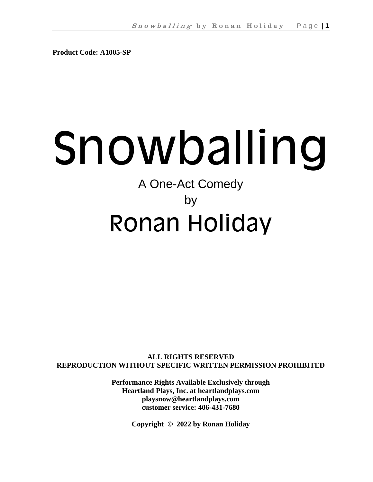**Product Code: A1005-SP**

# Snowballing

# A One-Act Comedy by Ronan Holiday

**ALL RIGHTS RESERVED REPRODUCTION WITHOUT SPECIFIC WRITTEN PERMISSION PROHIBITED**

> **Performance Rights Available Exclusively through Heartland Plays, Inc. at heartlandplays.com playsnow@heartlandplays.com customer service: 406-431-7680**

> > **Copyright © 2022 by Ronan Holiday**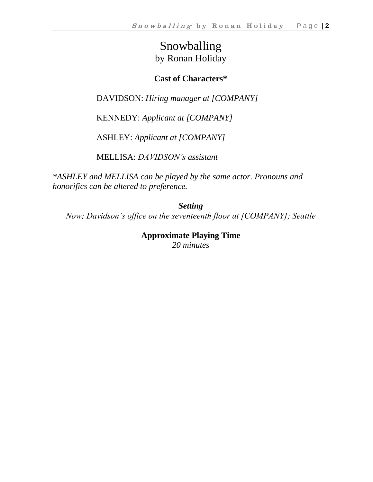# Snowballing by Ronan Holiday

### **Cast of Characters\***

DAVIDSON: *Hiring manager at [COMPANY]*

KENNEDY: *Applicant at [COMPANY]*

ASHLEY: *Applicant at [COMPANY]*

MELLISA: *DAVIDSON's assistant*

*\*ASHLEY and MELLISA can be played by the same actor. Pronouns and honorifics can be altered to preference.*

*Setting Now; Davidson's office on the seventeenth floor at [COMPANY]; Seattle*

> **Approximate Playing Time** *20 minutes*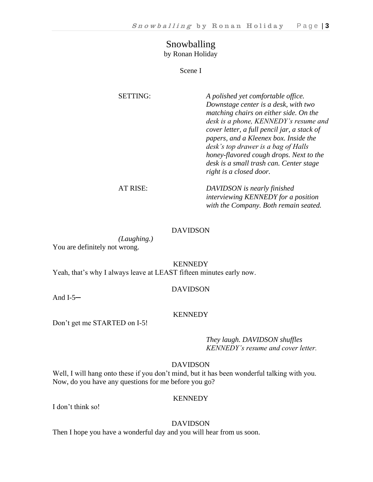## Snowballing by Ronan Holiday

Scene I

| <b>SETTING:</b> | A polished yet comfortable office.<br>Downstage center is a desk, with two<br>matching chairs on either side. On the<br>desk is a phone, KENNEDY's resume and<br>cover letter, a full pencil jar, a stack of<br>papers, and a Kleenex box. Inside the<br>desk's top drawer is a bag of Halls<br>honey-flavored cough drops. Next to the<br>desk is a small trash can. Center stage<br>right is a closed door. |
|-----------------|---------------------------------------------------------------------------------------------------------------------------------------------------------------------------------------------------------------------------------------------------------------------------------------------------------------------------------------------------------------------------------------------------------------|
| AT RISE:        | DAVIDSON is nearly finished<br>interviewing KENNEDY for a position<br>with the Company. Both remain seated.                                                                                                                                                                                                                                                                                                   |

#### DAVIDSON

*(Laughing.)* You are definitely not wrong.

**KENNEDY** 

Yeah, that's why I always leave at LEAST fifteen minutes early now.

#### DAVIDSON

And  $I-5$ —

#### **KENNEDY**

Don't get me STARTED on I-5!

*They laugh. DAVIDSON shuffles KENNEDY's resume and cover letter.*

#### DAVIDSON

Well, I will hang onto these if you don't mind, but it has been wonderful talking with you. Now, do you have any questions for me before you go?

#### **KENNEDY**

I don't think so!

#### DAVIDSON

Then I hope you have a wonderful day and you will hear from us soon.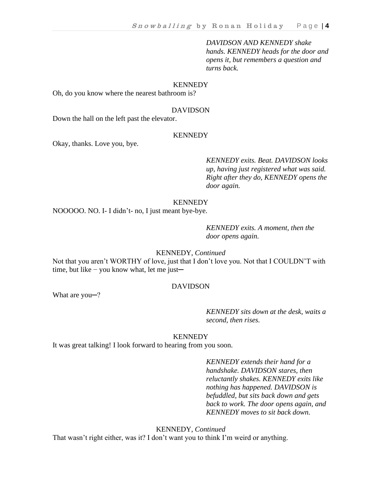*DAVIDSON AND KENNEDY shake hands. KENNEDY heads for the door and opens it, but remembers a question and turns back.*

#### **KENNEDY**

Oh, do you know where the nearest bathroom is?

#### DAVIDSON

Down the hall on the left past the elevator.

#### **KENNEDY**

Okay, thanks. Love you, bye.

*KENNEDY exits. Beat. DAVIDSON looks up, having just registered what was said. Right after they do, KENNEDY opens the door again.*

#### **KENNEDY**

NOOOOO. NO. I- I didn't- no, I just meant bye-bye.

*KENNEDY exits. A moment, then the door opens again.*

KENNEDY, *Continued*

Not that you aren't WORTHY of love, just that I don't love you. Not that I COULDN'T with time, but like  $-$  you know what, let me just—

#### DAVIDSON

What are you-?

*KENNEDY sits down at the desk, waits a second, then rises.*

#### **KENNEDY**

It was great talking! I look forward to hearing from you soon.

*KENNEDY extends their hand for a handshake. DAVIDSON stares, then reluctantly shakes. KENNEDY exits like nothing has happened. DAVIDSON is befuddled, but sits back down and gets back to work. The door opens again, and KENNEDY moves to sit back down.*

KENNEDY, *Continued* That wasn't right either, was it? I don't want you to think I'm weird or anything.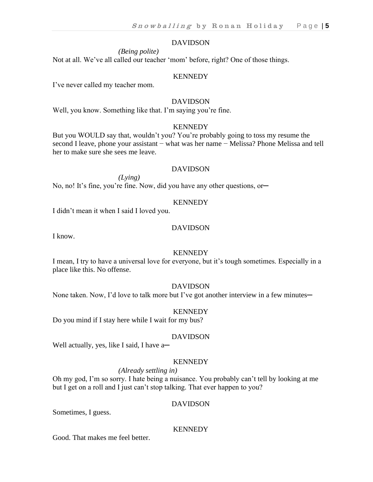*(Being polite)* Not at all. We've all called our teacher 'mom' before, right? One of those things.

#### **KENNEDY**

I've never called my teacher mom.

#### DAVIDSON

Well, you know. Something like that. I'm saying you're fine.

#### **KENNEDY**

But you WOULD say that, wouldn't you? You're probably going to toss my resume the second I leave, phone your assistant – what was her name – Melissa? Phone Melissa and tell her to make sure she sees me leave.

#### DAVIDSON

*(Lying)*  No, no! It's fine, you're fine. Now, did you have any other questions, or-

#### **KENNEDY**

I didn't mean it when I said I loved you.

#### DAVIDSON

I know.

#### **KENNEDY**

I mean, I try to have a universal love for everyone, but it's tough sometimes. Especially in a place like this. No offense.

#### DAVIDSON

None taken. Now, I'd love to talk more but I've got another interview in a few minutes—

#### **KENNEDY**

Do you mind if I stay here while I wait for my bus?

#### DAVIDSON

Well actually, yes, like I said, I have a-

#### **KENNEDY**

#### *(Already settling in)*

Oh my god, I'm so sorry. I hate being a nuisance. You probably can't tell by looking at me but I get on a roll and I just can't stop talking. That ever happen to you?

#### DAVIDSON

Sometimes, I guess.

#### **KENNEDY**

Good. That makes me feel better.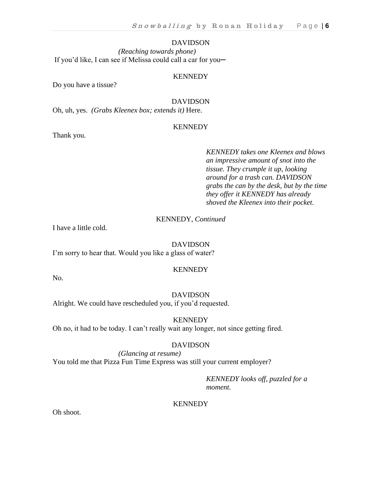*(Reaching towards phone)* If you'd like, I can see if Melissa could call a car for you-

#### **KENNEDY**

Do you have a tissue?

#### DAVIDSON

Oh, uh, yes. *(Grabs Kleenex box; extends it)* Here.

#### **KENNEDY**

Thank you.

*KENNEDY takes one Kleenex and blows an impressive amount of snot into the tissue. They crumple it up, looking around for a trash can. DAVIDSON grabs the can by the desk, but by the time they offer it KENNEDY has already shoved the Kleenex into their pocket.*

#### KENNEDY, *Continued*

I have a little cold.

#### DAVIDSON

I'm sorry to hear that. Would you like a glass of water?

#### **KENNEDY**

No.

#### DAVIDSON Alright. We could have rescheduled you, if you'd requested.

**KENNEDY** 

Oh no, it had to be today. I can't really wait any longer, not since getting fired.

#### DAVIDSON

*(Glancing at resume)* You told me that Pizza Fun Time Express was still your current employer?

> *KENNEDY looks off, puzzled for a moment.*

#### **KENNEDY**

Oh shoot.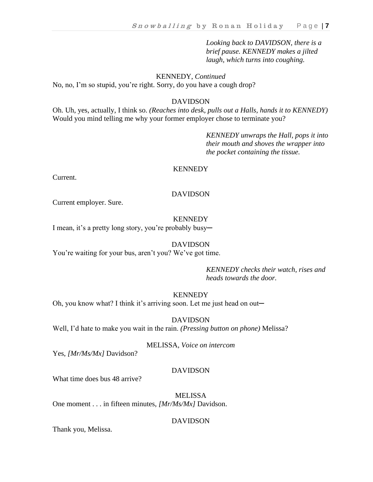*Looking back to DAVIDSON, there is a brief pause. KENNEDY makes a jilted laugh, which turns into coughing.*

KENNEDY, *Continued* No, no, I'm so stupid, you're right. Sorry, do you have a cough drop?

#### DAVIDSON

Oh. Uh, yes, actually, I think so. *(Reaches into desk, pulls out a Halls, hands it to KENNEDY)*  Would you mind telling me why your former employer chose to terminate you?

> *KENNEDY unwraps the Hall, pops it into their mouth and shoves the wrapper into the pocket containing the tissue.*

#### **KENNEDY**

Current.

#### DAVIDSON

Current employer. Sure.

#### **KENNEDY**

I mean, it's a pretty long story, you're probably busy-

#### DAVIDSON

You're waiting for your bus, aren't you? We've got time.

*KENNEDY checks their watch, rises and heads towards the door.*

#### **KENNEDY**

Oh, you know what? I think it's arriving soon. Let me just head on out—

DAVIDSON Well, I'd hate to make you wait in the rain. *(Pressing button on phone)* Melissa?

MELISSA, *Voice on intercom*

Yes, *[Mr/Ms/Mx]* Davidson?

#### DAVIDSON

What time does bus 48 arrive?

MELISSA One moment . . . in fifteen minutes, *[Mr/Ms/Mx]* Davidson.

#### DAVIDSON

Thank you, Melissa.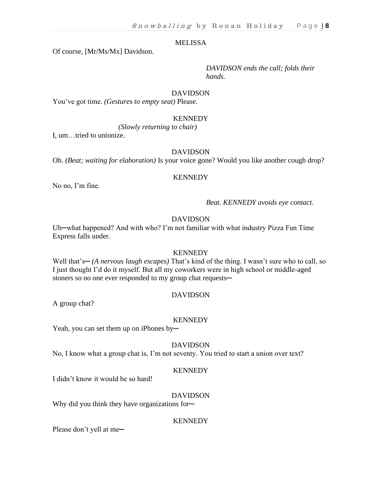#### **MELISSA**

Of course, [Mr/Ms/Mx] Davidson.

#### *DAVIDSON ends the call; folds their hands.*

#### DAVIDSON

You've got time. *(Gestures to empty seat)* Please.

#### **KENNEDY**

*(Slowly returning to chair)* 

I, um…tried to unionize.

#### DAVIDSON

Oh. *(Beat; waiting for elaboration)* Is your voice gone? Would you like another cough drop?

#### **KENNEDY**

No no, I'm fine.

*Beat. KENNEDY avoids eye contact.*

#### DAVIDSON

Uh—what happened? And with who? I'm not familiar with what industry Pizza Fun Time Express falls under.

#### **KENNEDY**

Well that's— *(A nervous laugh escapes)* That's kind of the thing. I wasn't sure who to call, so I just thought I'd do it myself. But all my coworkers were in high school or middle-aged stoners so no one ever responded to my group chat requests—

#### DAVIDSON

A group chat?

#### **KENNEDY**

Yeah, you can set them up on iPhones by—

#### DAVIDSON

No, I know what a group chat is, I'm not seventy. You tried to start a union over text?

#### **KENNEDY**

I didn't know it would be so hard!

#### DAVIDSON

Why did you think they have organizations for-

#### **KENNEDY**

Please don't yell at me-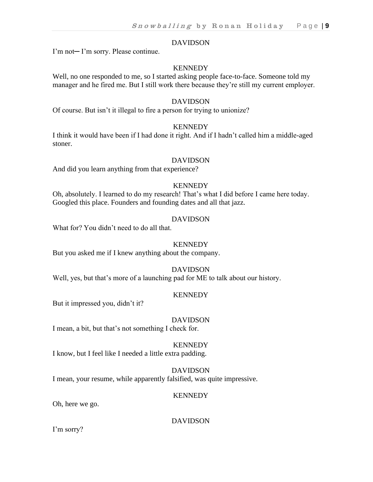I'm not─ I'm sorry. Please continue.

#### **KENNEDY**

Well, no one responded to me, so I started asking people face-to-face. Someone told my manager and he fired me. But I still work there because they're still my current employer.

#### DAVIDSON

Of course. But isn't it illegal to fire a person for trying to unionize?

#### **KENNEDY**

I think it would have been if I had done it right. And if I hadn't called him a middle-aged stoner.

#### DAVIDSON

And did you learn anything from that experience?

#### **KENNEDY**

Oh, absolutely. I learned to do my research! That's what I did before I came here today. Googled this place. Founders and founding dates and all that jazz.

#### DAVIDSON

What for? You didn't need to do all that.

#### **KENNEDY**

But you asked me if I knew anything about the company.

#### DAVIDSON

Well, yes, but that's more of a launching pad for ME to talk about our history.

#### **KENNEDY**

But it impressed you, didn't it?

#### DAVIDSON

I mean, a bit, but that's not something I check for.

#### **KENNEDY**

I know, but I feel like I needed a little extra padding.

#### DAVIDSON

I mean, your resume, while apparently falsified, was quite impressive.

#### **KENNEDY**

Oh, here we go.

#### DAVIDSON

I'm sorry?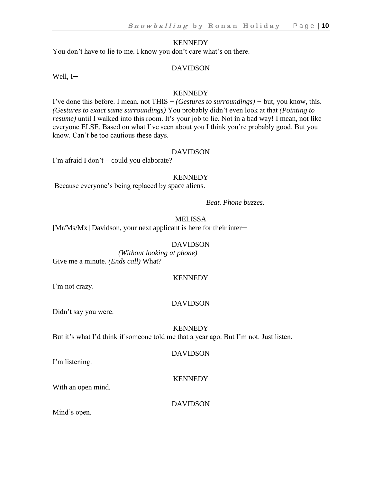You don't have to lie to me. I know you don't care what's on there.

#### DAVIDSON

Well, I-

#### **KENNEDY**

I've done this before. I mean, not THIS − *(Gestures to surroundings) −* but, you know, this. *(Gestures to exact same surroundings)* You probably didn't even look at that *(Pointing to resume*) until I walked into this room. It's your job to lie. Not in a bad way! I mean, not like everyone ELSE. Based on what I've seen about you I think you're probably good. But you know. Can't be too cautious these days.

#### DAVIDSON

I'm afraid I don't − could you elaborate?

#### **KENNEDY**

Because everyone's being replaced by space aliens.

*Beat. Phone buzzes.*

#### MELISSA

[Mr/Ms/Mx] Davidson, your next applicant is here for their inter—

#### DAVIDSON

*(Without looking at phone)* Give me a minute. *(Ends call)* What?

#### **KENNEDY**

I'm not crazy.

#### DAVIDSON

Didn't say you were.

#### **KENNEDY**

But it's what I'd think if someone told me that a year ago. But I'm not. Just listen.

I'm listening.

#### **KENNEDY**

DAVIDSON

With an open mind.

DAVIDSON

Mind's open.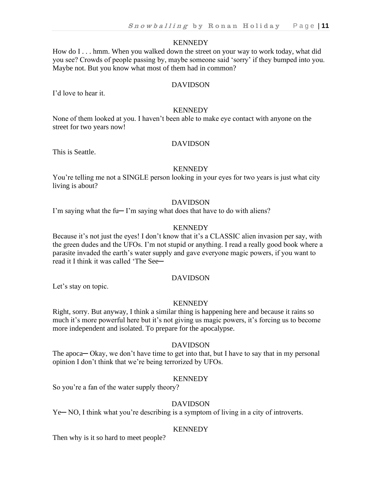How do I . . . hmm. When you walked down the street on your way to work today, what did you see? Crowds of people passing by, maybe someone said 'sorry' if they bumped into you. Maybe not. But you know what most of them had in common?

#### DAVIDSON

I'd love to hear it.

#### **KENNEDY**

None of them looked at you. I haven't been able to make eye contact with anyone on the street for two years now!

#### DAVIDSON

This is Seattle.

#### **KENNEDY**

You're telling me not a SINGLE person looking in your eyes for two years is just what city living is about?

#### DAVIDSON

I'm saying what the fu-I'm saying what does that have to do with aliens?

#### **KENNEDY**

Because it's not just the eyes! I don't know that it's a CLASSIC alien invasion per say, with the green dudes and the UFOs. I'm not stupid or anything. I read a really good book where a parasite invaded the earth's water supply and gave everyone magic powers, if you want to read it I think it was called 'The See*─*

#### DAVIDSON

Let's stay on topic.

#### **KENNEDY**

Right, sorry. But anyway, I think a similar thing is happening here and because it rains so much it's more powerful here but it's not giving us magic powers, it's forcing us to become more independent and isolated. To prepare for the apocalypse.

#### DAVIDSON

The apoca—Okay, we don't have time to get into that, but I have to say that in my personal opinion I don't think that we're being terrorized by UFOs.

#### **KENNEDY**

So you're a fan of the water supply theory?

#### DAVIDSON

Ye─ NO, I think what you're describing is a symptom of living in a city of introverts.

#### **KENNEDY**

Then why is it so hard to meet people?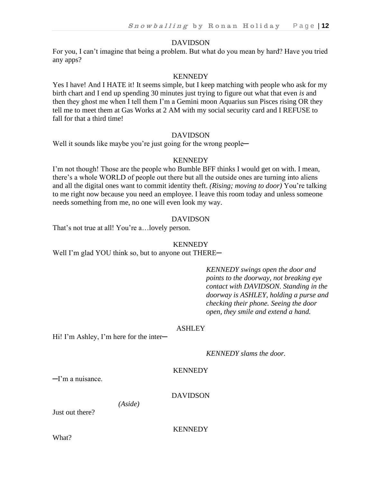For you, I can't imagine that being a problem. But what do you mean by hard? Have you tried any apps?

#### **KENNEDY**

Yes I have! And I HATE it! It seems simple, but I keep matching with people who ask for my birth chart and I end up spending 30 minutes just trying to figure out what that even *is* and then they ghost me when I tell them I'm a Gemini moon Aquarius sun Pisces rising OR they tell me to meet them at Gas Works at 2 AM with my social security card and I REFUSE to fall for that a third time!

#### DAVIDSON

Well it sounds like maybe you're just going for the wrong people—

#### **KENNEDY**

I'm not though! Those are the people who Bumble BFF thinks I would get on with. I mean, there's a whole WORLD of people out there but all the outside ones are turning into aliens and all the digital ones want to commit identity theft. *(Rising; moving to door)* You're talking to me right now because you need an employee. I leave this room today and unless someone needs something from me, no one will even look my way.

#### DAVIDSON

That's not true at all! You're a…lovely person.

#### **KENNEDY**

Well I'm glad YOU think so, but to anyone out THERE-

*KENNEDY swings open the door and points to the doorway, not breaking eye contact with DAVIDSON. Standing in the doorway is ASHLEY, holding a purse and checking their phone. Seeing the door open, they smile and extend a hand.*

#### ASHLEY

Hi! I'm Ashley, I'm here for the inter—

*KENNEDY slams the door.*

#### **KENNEDY**

─I'm a nuisance.

#### DAVIDSON

*(Aside)*

Just out there?

#### **KENNEDY**

What?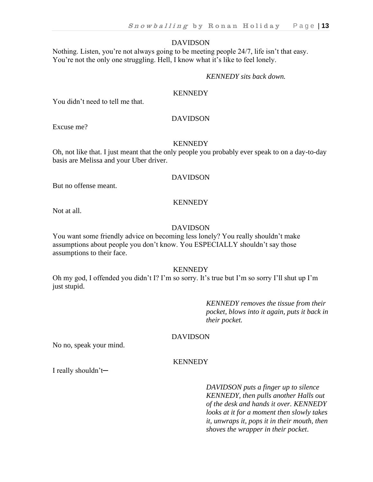Nothing. Listen, you're not always going to be meeting people 24/7, life isn't that easy. You're not the only one struggling. Hell, I know what it's like to feel lonely.

#### *KENNEDY sits back down.*

#### **KENNEDY**

You didn't need to tell me that.

#### DAVIDSON

Excuse me?

#### **KENNEDY**

Oh, not like that. I just meant that the only people you probably ever speak to on a day-to-day basis are Melissa and your Uber driver.

#### DAVIDSON

But no offense meant.

#### **KENNEDY**

Not at all.

#### DAVIDSON

You want some friendly advice on becoming less lonely? You really shouldn't make assumptions about people you don't know. You ESPECIALLY shouldn't say those assumptions to their face.

**KENNEDY** 

Oh my god, I offended you didn't I? I'm so sorry. It's true but I'm so sorry I'll shut up I'm just stupid.

> *KENNEDY removes the tissue from their pocket, blows into it again, puts it back in their pocket.*

#### DAVIDSON

No no, speak your mind.

#### **KENNEDY**

I really shouldn't─

*DAVIDSON puts a finger up to silence KENNEDY, then pulls another Halls out of the desk and hands it over. KENNEDY looks at it for a moment then slowly takes it, unwraps it, pops it in their mouth, then shoves the wrapper in their pocket*.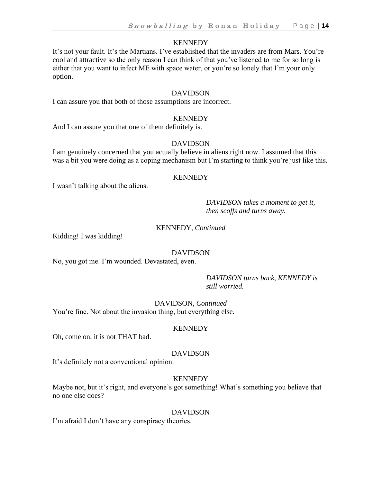It's not your fault. It's the Martians. I've established that the invaders are from Mars. You're cool and attractive so the only reason I can think of that you've listened to me for so long is either that you want to infect ME with space water, or you're so lonely that I'm your only option.

#### DAVIDSON

I can assure you that both of those assumptions are incorrect.

#### **KENNEDY**

And I can assure you that one of them definitely is.

#### DAVIDSON

I am genuinely concerned that you actually believe in aliens right now. I assumed that this was a bit you were doing as a coping mechanism but I'm starting to think you're just like this.

#### **KENNEDY**

I wasn't talking about the aliens.

*DAVIDSON takes a moment to get it, then scoffs and turns away.*

#### KENNEDY, *Continued*

Kidding! I was kidding!

#### DAVIDSON

No, you got me. I'm wounded. Devastated, even.

*DAVIDSON turns back, KENNEDY is still worried.*

#### DAVIDSON, *Continued*

You're fine. Not about the invasion thing, but everything else.

#### **KENNEDY**

Oh, come on, it is not THAT bad.

#### DAVIDSON

It's definitely not a conventional opinion.

#### **KENNEDY**

Maybe not, but it's right, and everyone's got something! What's something you believe that no one else does?

#### DAVIDSON

I'm afraid I don't have any conspiracy theories.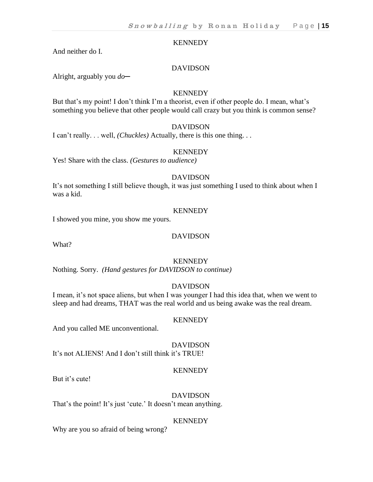And neither do I.

#### DAVIDSON

Alright, arguably you *do*─

#### **KENNEDY**

But that's my point! I don't think I'm a theorist, even if other people do. I mean, what's something you believe that other people would call crazy but you think is common sense?

#### DAVIDSON

I can't really. . . well, *(Chuckles)* Actually, there is this one thing. . .

#### **KENNEDY**

Yes! Share with the class. *(Gestures to audience)*

#### DAVIDSON

It's not something I still believe though, it was just something I used to think about when I was a kid.

#### **KENNEDY**

I showed you mine, you show me yours.

#### DAVIDSON

What?

#### **KENNEDY**

Nothing. Sorry. *(Hand gestures for DAVIDSON to continue)*

#### DAVIDSON

I mean, it's not space aliens, but when I was younger I had this idea that, when we went to sleep and had dreams, THAT was the real world and us being awake was the real dream.

#### **KENNEDY**

And you called ME unconventional.

#### DAVIDSON

It's not ALIENS! And I don't still think it's TRUE!

#### **KENNEDY**

But it's cute!

#### DAVIDSON

That's the point! It's just 'cute.' It doesn't mean anything.

#### **KENNEDY**

Why are you so afraid of being wrong?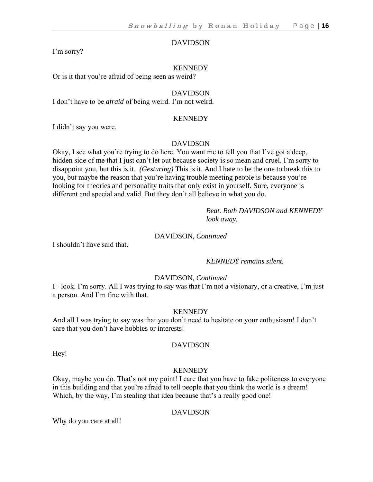#### I'm sorry?

#### **KENNEDY**

Or is it that you're afraid of being seen as weird?

#### DAVIDSON

I don't have to be *afraid* of being weird. I'm not weird.

#### **KENNEDY**

I didn't say you were.

#### DAVIDSON

Okay, I see what you're trying to do here. You want me to tell you that I've got a deep, hidden side of me that I just can't let out because society is so mean and cruel. I'm sorry to disappoint you, but this is it. *(Gesturing)* This is it. And I hate to be the one to break this to you, but maybe the reason that you're having trouble meeting people is because you're looking for theories and personality traits that only exist in yourself. Sure, everyone is different and special and valid. But they don't all believe in what you do.

> *Beat. Both DAVIDSON and KENNEDY look away.*

#### DAVIDSON, *Continued*

I shouldn't have said that.

#### *KENNEDY remains silent.*

#### DAVIDSON, *Continued*

I− look. I'm sorry. All I was trying to say was that I'm not a visionary, or a creative, I'm just a person. And I'm fine with that.

#### **KENNEDY**

And all I was trying to say was that you don't need to hesitate on your enthusiasm! I don't care that you don't have hobbies or interests!

#### DAVIDSON

Hey!

#### **KENNEDY**

Okay, maybe you do. That's not my point! I care that you have to fake politeness to everyone in this building and that you're afraid to tell people that you think the world is a dream! Which, by the way, I'm stealing that idea because that's a really good one!

#### DAVIDSON

Why do you care at all!